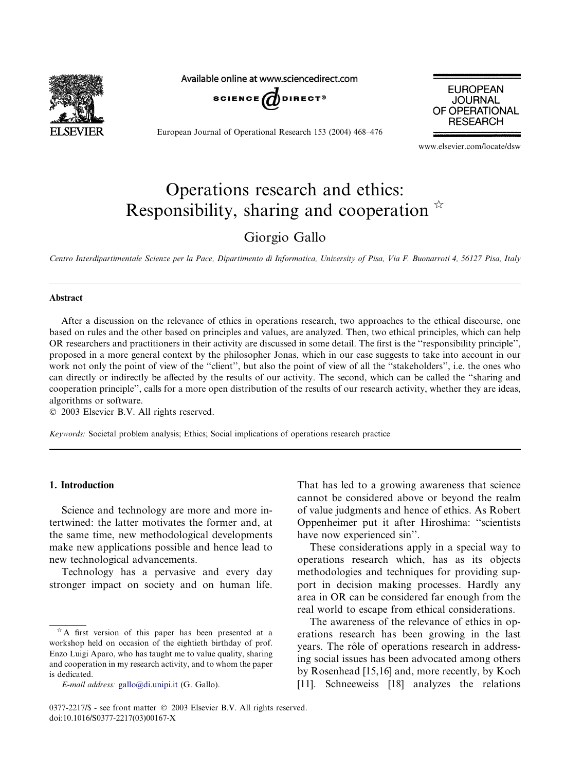

Available online at www.sciencedirect.com



European Journal of Operational Research 153 (2004) 468–476



www.elsevier.com/locate/dsw

# Operations research and ethics: Responsibility, sharing and cooperation  $\overline{x}$

### Giorgio Gallo

Centro Interdipartimentale Scienze per la Pace, Dipartimento di Informatica, University of Pisa, Via F. Buonarroti 4, 56127 Pisa, Italy

#### Abstract

After a discussion on the relevance of ethics in operations research, two approaches to the ethical discourse, one based on rules and the other based on principles and values, are analyzed. Then, two ethical principles, which can help OR researchers and practitioners in their activity are discussed in some detail. The first is the ''responsibility principle'', proposed in a more general context by the philosopher Jonas, which in our case suggests to take into account in our work not only the point of view of the "client", but also the point of view of all the "stakeholders", i.e. the ones who can directly or indirectly be affected by the results of our activity. The second, which can be called the ''sharing and cooperation principle'', calls for a more open distribution of the results of our research activity, whether they are ideas, algorithms or software.

2003 Elsevier B.V. All rights reserved.

Keywords: Societal problem analysis; Ethics; Social implications of operations research practice

#### 1. Introduction

Science and technology are more and more intertwined: the latter motivates the former and, at the same time, new methodological developments make new applications possible and hence lead to new technological advancements.

Technology has a pervasive and every day stronger impact on society and on human life. That has led to a growing awareness that science cannot be considered above or beyond the realm of value judgments and hence of ethics. As Robert Oppenheimer put it after Hiroshima: ''scientists have now experienced sin''.

These considerations apply in a special way to operations research which, has as its objects methodologies and techniques for providing support in decision making processes. Hardly any area in OR can be considered far enough from the real world to escape from ethical considerations.

The awareness of the relevance of ethics in operations research has been growing in the last years. The rôle of operations research in addressing social issues has been advocated among others by Rosenhead [15,16] and, more recently, by Koch [11]. Schneeweiss [18] analyzes the relations

 $A$  first version of this paper has been presented at a workshop held on occasion of the eightieth birthday of prof. Enzo Luigi Aparo, who has taught me to value quality, sharing and cooperation in my research activity, and to whom the paper is dedicated.

E-mail address: [gallo@di.unipi.it](mail to: gallo@di.unipi.it) (G. Gallo).

<sup>0377-2217/\$ -</sup> see front matter © 2003 Elsevier B.V. All rights reserved. doi:10.1016/S0377-2217(03)00167-X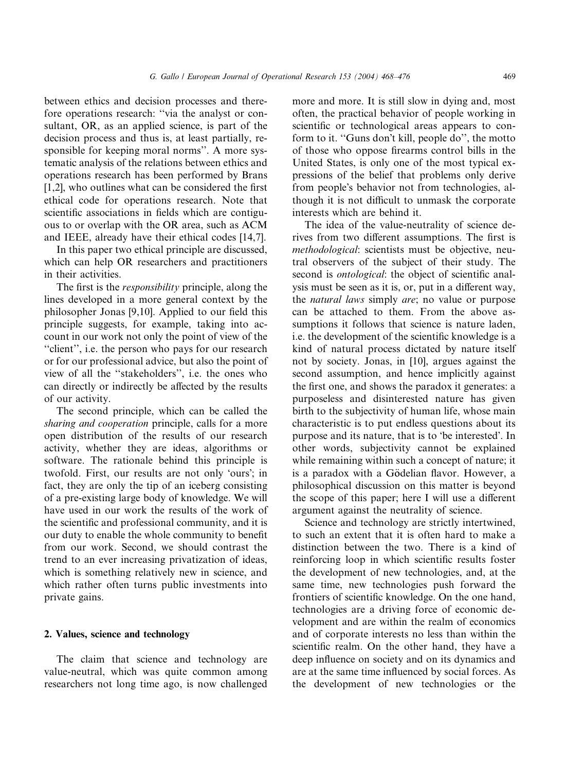between ethics and decision processes and therefore operations research: ''via the analyst or consultant, OR, as an applied science, is part of the decision process and thus is, at least partially, responsible for keeping moral norms''. A more systematic analysis of the relations between ethics and operations research has been performed by Brans [1,2], who outlines what can be considered the first ethical code for operations research. Note that scientific associations in fields which are contiguous to or overlap with the OR area, such as ACM and IEEE, already have their ethical codes [14,7].

In this paper two ethical principle are discussed, which can help OR researchers and practitioners in their activities.

The first is the *responsibility* principle, along the lines developed in a more general context by the philosopher Jonas [9,10]. Applied to our field this principle suggests, for example, taking into account in our work not only the point of view of the ''client'', i.e. the person who pays for our research or for our professional advice, but also the point of view of all the ''stakeholders'', i.e. the ones who can directly or indirectly be affected by the results of our activity.

The second principle, which can be called the sharing and cooperation principle, calls for a more open distribution of the results of our research activity, whether they are ideas, algorithms or software. The rationale behind this principle is twofold. First, our results are not only 'ours'; in fact, they are only the tip of an iceberg consisting of a pre-existing large body of knowledge. We will have used in our work the results of the work of the scientific and professional community, and it is our duty to enable the whole community to benefit from our work. Second, we should contrast the trend to an ever increasing privatization of ideas, which is something relatively new in science, and which rather often turns public investments into private gains.

### 2. Values, science and technology

The claim that science and technology are value-neutral, which was quite common among researchers not long time ago, is now challenged

more and more. It is still slow in dying and, most often, the practical behavior of people working in scientific or technological areas appears to conform to it. "Guns don't kill, people do", the motto of those who oppose firearms control bills in the United States, is only one of the most typical expressions of the belief that problems only derive from people's behavior not from technologies, although it is not difficult to unmask the corporate interests which are behind it.

The idea of the value-neutrality of science derives from two different assumptions. The first is methodological: scientists must be objective, neutral observers of the subject of their study. The second is *ontological*: the object of scientific analysis must be seen as it is, or, put in a different way, the natural laws simply are; no value or purpose can be attached to them. From the above assumptions it follows that science is nature laden, i.e. the development of the scientific knowledge is a kind of natural process dictated by nature itself not by society. Jonas, in [10], argues against the second assumption, and hence implicitly against the first one, and shows the paradox it generates: a purposeless and disinterested nature has given birth to the subjectivity of human life, whose main characteristic is to put endless questions about its purpose and its nature, that is to 'be interested'. In other words, subjectivity cannot be explained while remaining within such a concept of nature; it is a paradox with a Gödelian flavor. However, a philosophical discussion on this matter is beyond the scope of this paper; here I will use a different argument against the neutrality of science.

Science and technology are strictly intertwined, to such an extent that it is often hard to make a distinction between the two. There is a kind of reinforcing loop in which scientific results foster the development of new technologies, and, at the same time, new technologies push forward the frontiers of scientific knowledge. On the one hand, technologies are a driving force of economic development and are within the realm of economics and of corporate interests no less than within the scientific realm. On the other hand, they have a deep influence on society and on its dynamics and are at the same time influenced by social forces. As the development of new technologies or the